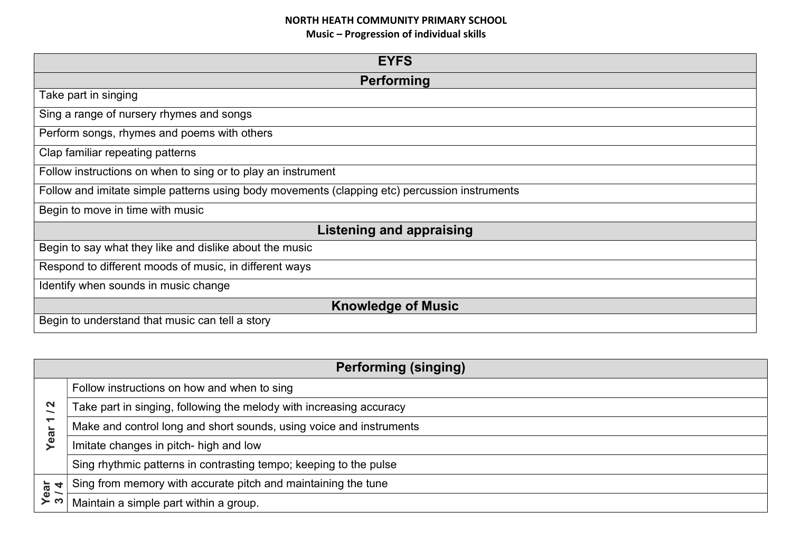| <b>EYFS</b>                                                                                   |  |
|-----------------------------------------------------------------------------------------------|--|
| Performing                                                                                    |  |
| Take part in singing                                                                          |  |
| Sing a range of nursery rhymes and songs                                                      |  |
| Perform songs, rhymes and poems with others                                                   |  |
| Clap familiar repeating patterns                                                              |  |
| Follow instructions on when to sing or to play an instrument                                  |  |
| Follow and imitate simple patterns using body movements (clapping etc) percussion instruments |  |
| Begin to move in time with music                                                              |  |
| Listening and appraising                                                                      |  |
| Begin to say what they like and dislike about the music                                       |  |
| Respond to different moods of music, in different ways                                        |  |
| Identify when sounds in music change                                                          |  |
| <b>Knowledge of Music</b>                                                                     |  |
| Begin to understand that music can tell a story                                               |  |

| <b>Performing (singing)</b>   |                                                                     |
|-------------------------------|---------------------------------------------------------------------|
|                               | Follow instructions on how and when to sing                         |
| N<br>$\overline{\phantom{0}}$ | Take part in singing, following the melody with increasing accuracy |
| $\overline{\phantom{0}}$      | Make and control long and short sounds, using voice and instruments |
| Year                          | Imitate changes in pitch- high and low                              |
|                               | Sing rhythmic patterns in contrasting tempo; keeping to the pulse   |
| ear<br>4                      | Sing from memory with accurate pitch and maintaining the tune       |
|                               | Maintain a simple part within a group.                              |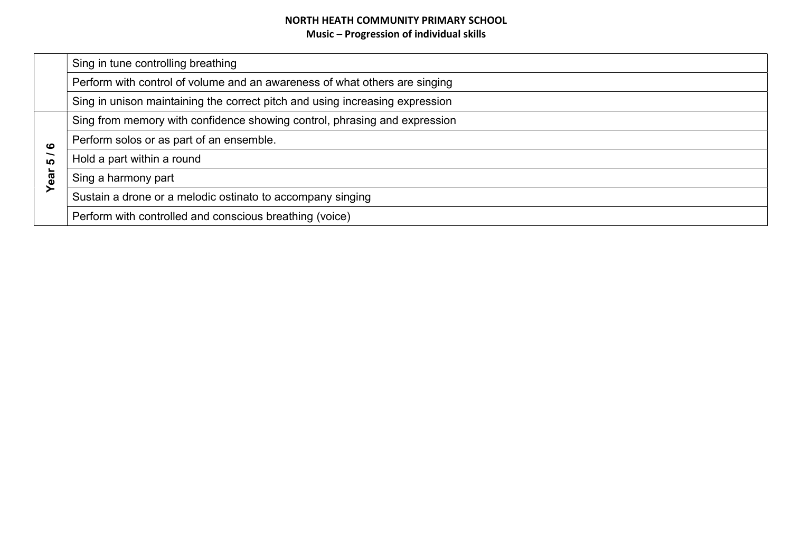|               | Sing in tune controlling breathing                                           |
|---------------|------------------------------------------------------------------------------|
|               | Perform with control of volume and an awareness of what others are singing   |
|               | Sing in unison maintaining the correct pitch and using increasing expression |
|               | Sing from memory with confidence showing control, phrasing and expression    |
| ဖ<br>ທ<br>ear | Perform solos or as part of an ensemble.                                     |
|               | Hold a part within a round                                                   |
|               | Sing a harmony part                                                          |
|               | Sustain a drone or a melodic ostinato to accompany singing                   |
|               | Perform with controlled and conscious breathing (voice)                      |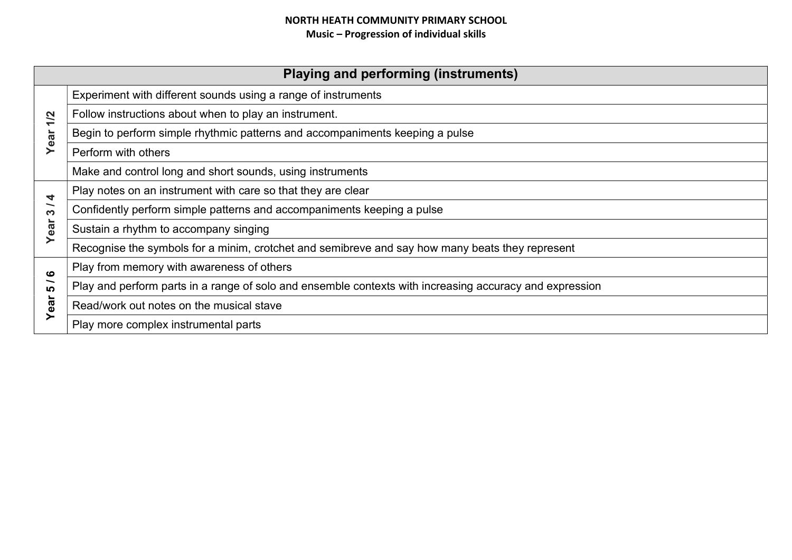# NORTH HEATH COMMUNITY PRIMARY SCHOOL Music – Progression of individual skills

| <b>Playing and performing (instruments)</b> |                                                                                                         |
|---------------------------------------------|---------------------------------------------------------------------------------------------------------|
|                                             | Experiment with different sounds using a range of instruments                                           |
| 1/2                                         | Follow instructions about when to play an instrument.                                                   |
| Year                                        | Begin to perform simple rhythmic patterns and accompaniments keeping a pulse                            |
|                                             | Perform with others                                                                                     |
|                                             | Make and control long and short sounds, using instruments                                               |
| 4                                           | Play notes on an instrument with care so that they are clear                                            |
| S                                           | Confidently perform simple patterns and accompaniments keeping a pulse                                  |
| Year                                        | Sustain a rhythm to accompany singing                                                                   |
|                                             | Recognise the symbols for a minim, crotchet and semibreve and say how many beats they represent         |
| ဖ                                           | Play from memory with awareness of others                                                               |
| <b>LO</b>                                   | Play and perform parts in a range of solo and ensemble contexts with increasing accuracy and expression |
| Year                                        | Read/work out notes on the musical stave                                                                |
|                                             | Play more complex instrumental parts                                                                    |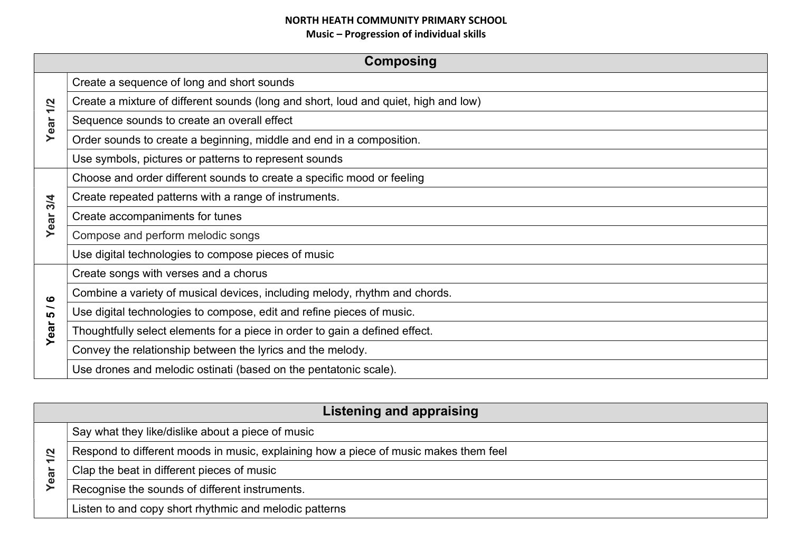| <b>Composing</b> |                                                                                     |
|------------------|-------------------------------------------------------------------------------------|
|                  | Create a sequence of long and short sounds                                          |
| 1/2              | Create a mixture of different sounds (long and short, loud and quiet, high and low) |
| Year             | Sequence sounds to create an overall effect                                         |
|                  | Order sounds to create a beginning, middle and end in a composition.                |
|                  | Use symbols, pictures or patterns to represent sounds                               |
|                  | Choose and order different sounds to create a specific mood or feeling              |
| 3/4              | Create repeated patterns with a range of instruments.                               |
| Year             | Create accompaniments for tunes                                                     |
|                  | Compose and perform melodic songs                                                   |
|                  | Use digital technologies to compose pieces of music                                 |
|                  | Create songs with verses and a chorus                                               |
| ဖ                | Combine a variety of musical devices, including melody, rhythm and chords.          |
| ∽<br><b>LO</b>   | Use digital technologies to compose, edit and refine pieces of music.               |
| Year             | Thoughtfully select elements for a piece in order to gain a defined effect.         |
|                  | Convey the relationship between the lyrics and the melody.                          |
|                  | Use drones and melodic ostinati (based on the pentatonic scale).                    |

| Listening and appraising |                                                                                      |  |
|--------------------------|--------------------------------------------------------------------------------------|--|
|                          | Say what they like/dislike about a piece of music                                    |  |
| $\overline{\mathbf{z}}$  | Respond to different moods in music, explaining how a piece of music makes them feel |  |
| ear                      | Clap the beat in different pieces of music                                           |  |
| ≻                        | Recognise the sounds of different instruments.                                       |  |
|                          | Listen to and copy short rhythmic and melodic patterns                               |  |